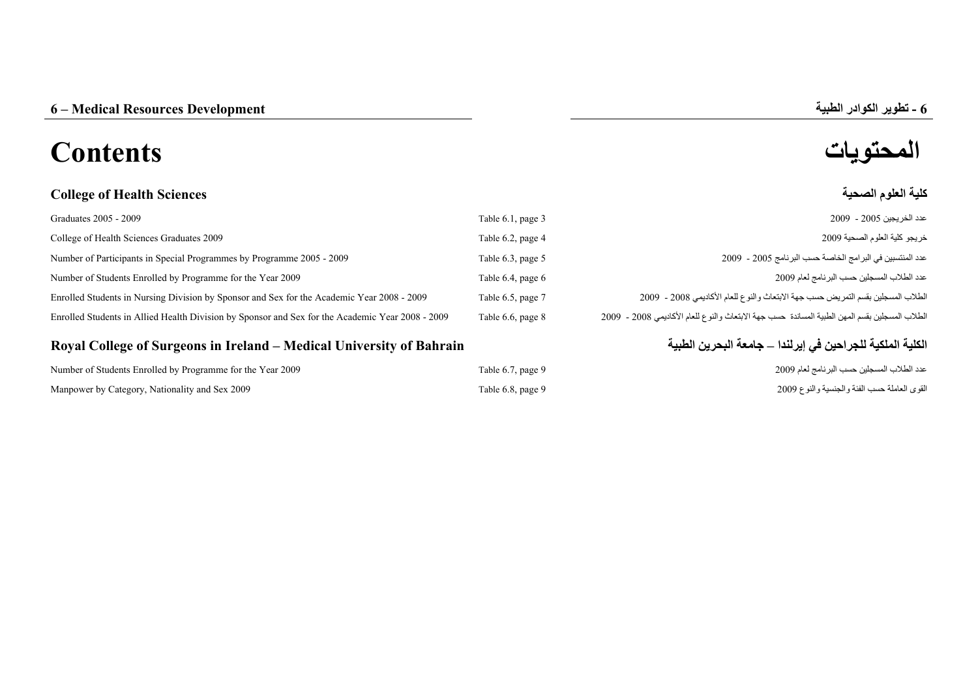# **المحتويات Contents**

# **College of Health Sciences الصحية العلوم آلية**

| Graduates 2005 - 2009                                                                            | Table 6.1, page 3 | عدد الخر يجين 2005 - 2009                                                                        |
|--------------------------------------------------------------------------------------------------|-------------------|--------------------------------------------------------------------------------------------------|
| College of Health Sciences Graduates 2009                                                        | Table 6.2, page 4 | خريجو كلية العلوم الصحية 2009                                                                    |
| Number of Participants in Special Programmes by Programme 2005 - 2009                            | Table 6.3, page 5 | عدد المنتسبين في البر امج الخاصــة حسب البر نامج 2005 - 2009                                     |
| Number of Students Enrolled by Programme for the Year 2009                                       | Table 6.4, page 6 | عدد الطلاب المسجلين حسب البر نامج لعام 2009                                                      |
| Enrolled Students in Nursing Division by Sponsor and Sex for the Academic Year 2008 - 2009       | Table 6.5, page 7 | الطلاب المسجلين بقسم التمريض حسب جهة الابتعاث والنوع للعام الأكاديمي 2008 - 2009                 |
| Enrolled Students in Allied Health Division by Sponsor and Sex for the Academic Year 2008 - 2009 | Table 6.6, page 8 | الطلاب المسجلين بقسم المهن الطبية المساندة  حسب جهة الابتعاث والنوع للعام الأكاديمي 2008 -  2009 |

# Royal College of Surgeons in Ireland – Medical University of Bahrain

| Number of Students Enrolled by Programme for the Year 2009 | Table 6.7, page 9 | عدد الطلاب المسجلين حسب البر نامج لعام 2009  |
|------------------------------------------------------------|-------------------|----------------------------------------------|
| Manpower by Category, Nationality and Sex 2009             | Table 6.8, page 9 | القوى العاملة حسب الفئة والجنسية والنوع 2009 |

# **الكلية الملكية للجراحين في إيرلندا –**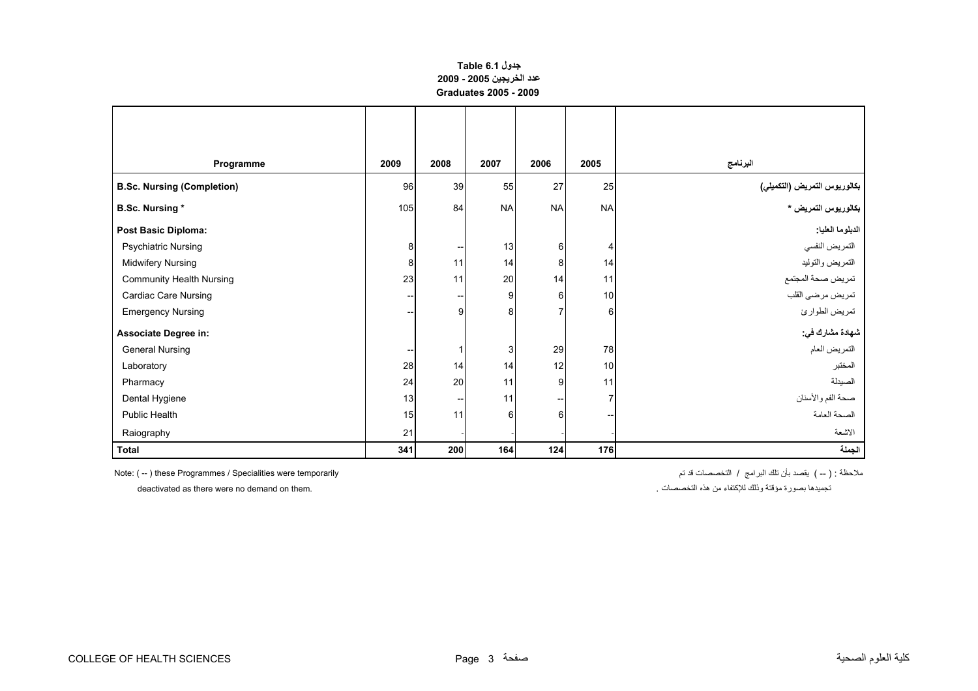### **جدول 6.1 Table عدد الخريجين 2005 - 2009 Graduates 2005 - 2009**

<span id="page-1-0"></span>

| Programme                         | 2009 | 2008                     | 2007      | 2006             | 2005      | البرنامج                     |
|-----------------------------------|------|--------------------------|-----------|------------------|-----------|------------------------------|
| <b>B.Sc. Nursing (Completion)</b> | 96   | 39                       | 55        | 27               | 25        | بكالوريوس التمريض (التكميلي) |
| <b>B.Sc. Nursing*</b>             | 105  | 84                       | <b>NA</b> | <b>NA</b>        | <b>NA</b> | بكالوريوس التمريض *          |
| Post Basic Diploma:               |      |                          |           |                  |           | الدبلوما العليا              |
| <b>Psychiatric Nursing</b>        | 8    | $\overline{\phantom{a}}$ | 13        | $\,6$            | 4         | التمريض النفسي               |
| <b>Midwifery Nursing</b>          | 8    | 11                       | 14        | 8                | 14        | التمريض والتوليد             |
| <b>Community Health Nursing</b>   | 23   | 11                       | 20        | 14               | 11        | تمريض صحة المجتمع            |
| Cardiac Care Nursing              | --   | --                       | 9         | 6                | 10        | تمريض مرضى القلب             |
| <b>Emergency Nursing</b>          |      | 9                        | 8         | $\overline{7}$   | 6         | تمريض الطوارئ                |
| <b>Associate Degree in:</b>       |      |                          |           |                  |           | شهادة مشارك في:              |
| <b>General Nursing</b>            | --   | 1                        | 3         | 29               | 78        | التمريض العام                |
| Laboratory                        | 28   | 14                       | 14        | 12               | 10        | المختبر                      |
| Pharmacy                          | 24   | 20                       | 11        | $\boldsymbol{9}$ | 11        | الصيدلة                      |
| Dental Hygiene                    | 13   | $\qquad \qquad -$        | 11        | --               |           | صحة الفم والأسنان            |
| <b>Public Health</b>              | 15   | 11                       | 6         | 6                |           | الصحة العامة                 |
| Raiography                        | 21   |                          |           |                  |           | الاشعة                       |
| <b>Total</b>                      | 341  | 200                      | 164       | 124              | 176       | الجملة                       |

ملاحظة : ( -- ) يقصد بأن تلك البرامج / التخصصات قد تم Note: ( -- ) these Programmes / Specialities were temporarily

تجميدها بصورة مؤقتة وذلك للإآتفاء من هذه التخصصات . .them on demand no were there as deactivated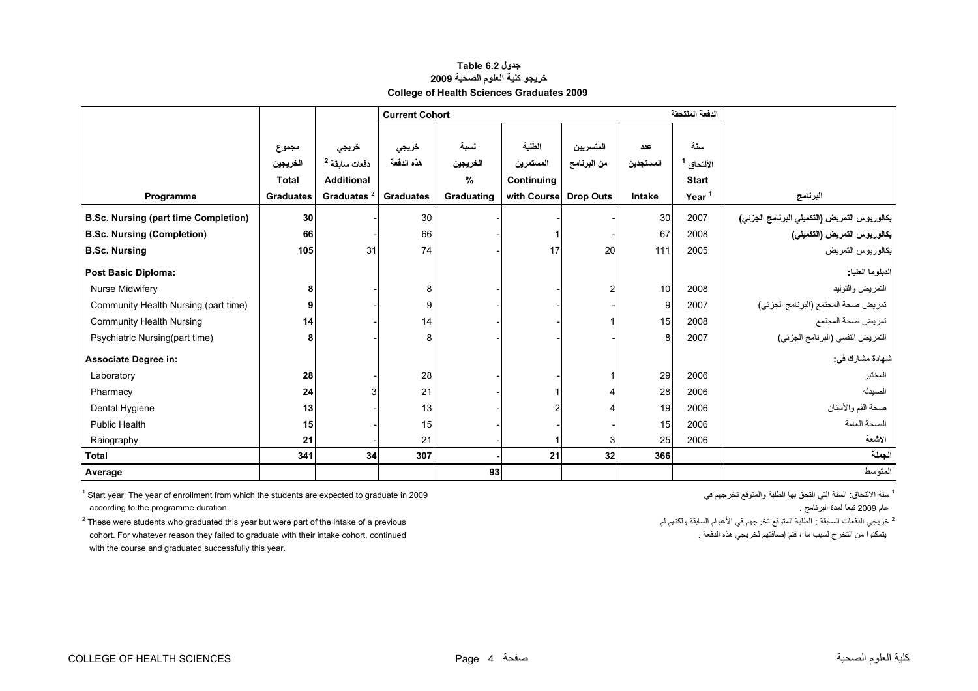#### **جدول 6.2 Table خريجو آلية العلوم الصحية <sup>2009</sup> College of Health Sciences Graduates 2009**

<span id="page-2-0"></span>

|                                             |                  |                          | <b>Current Cohort</b> |            |             |                  |           | الدفعة الملتحقة   |                                              |
|---------------------------------------------|------------------|--------------------------|-----------------------|------------|-------------|------------------|-----------|-------------------|----------------------------------------------|
|                                             |                  |                          |                       |            |             |                  |           |                   |                                              |
|                                             | مجموع            | خريجى                    | خريجى                 | نسبة       | الطلبة      | المتسربين        | عدد       | سنة               |                                              |
|                                             | الخريجين         | دفعات سابقة <sup>2</sup> | هذه الدفعة            | الخريجين   | المستمرين   | من البرنامج      | المستجدين | الألتحاق          |                                              |
|                                             | <b>Total</b>     | <b>Additional</b>        |                       | $\%$       | Continuing  |                  |           | <b>Start</b>      |                                              |
| Programme                                   | <b>Graduates</b> | Graduates <sup>2</sup>   | <b>Graduates</b>      | Graduating | with Course | <b>Drop Outs</b> | Intake    | Year <sup>1</sup> | البرنامج                                     |
| <b>B.Sc. Nursing (part time Completion)</b> | 30               |                          | 30                    |            |             |                  | 30        | 2007              | بكالوريوس التمريض (التكميلي البرنامج الجزئي) |
| <b>B.Sc. Nursing (Completion)</b>           | 66               |                          | 66                    |            |             |                  | 67        | 2008              | بكالوريوس التمريض (التكميلي)                 |
| <b>B.Sc. Nursing</b>                        | 105              | 31                       | 74                    |            | 17          | 20               | 111       | 2005              | بكالوريوس التمريض                            |
| <b>Post Basic Diploma:</b>                  |                  |                          |                       |            |             |                  |           |                   | الدبلوما العليا:                             |
| Nurse Midwifery                             | 8                |                          | 8                     |            |             |                  | 10        | 2008              | التمريض والتوليد                             |
| Community Health Nursing (part time)        | 9                |                          | 9                     |            |             |                  | 9         | 2007              | تمريض صحة المجتمع (البرنامج الجزئي)          |
| <b>Community Health Nursing</b>             | 14               |                          | 14                    |            |             |                  | 15        | 2008              | تمريض صحة المجتمع                            |
| Psychiatric Nursing(part time)              | 8                |                          | 8                     |            |             |                  | 8         | 2007              | التمريض النفسي (البرنامج الجزئي)             |
| <b>Associate Degree in:</b>                 |                  |                          |                       |            |             |                  |           |                   | شهادة مشارك في:                              |
| Laboratory                                  | 28               |                          | 28                    |            |             |                  | 29        | 2006              | المختبر                                      |
| Pharmacy                                    | 24               |                          | 21                    |            |             |                  | 28        | 2006              | الصيدله                                      |
| Dental Hygiene                              | 13               |                          | 13                    |            |             |                  | 19        | 2006              | صحة الفم والأسنان                            |
| <b>Public Health</b>                        | 15               |                          | 15                    |            |             |                  | 15        | 2006              | الصحة العامة                                 |
| Raiography                                  | 21               |                          | 21                    |            |             |                  | 25        | 2006              | الاشعة                                       |
| <b>Total</b>                                | 341              | 34                       | 307                   |            | 21          | 32               | 366       |                   | الجملة                                       |
| Average                                     |                  |                          |                       | 93         |             |                  |           |                   | المتوسط                                      |

<sup>1</sup> سنة الالتحاق: السنة التي التحق بها الطلبة والمتوقع تخرجهم في <sup>1</sup> Start year: The year of enrollment from which the students are expected to graduate in 2009<br>عام 2009 تبعا لمدة البرنامج . عام 2009 تبعا لمدة البرنامج .<br><sup>2</sup> خريجي المدة البرنامج البرنامج المدة البرنامج لمدة البرنامج المدافقة والمدة والمدافقة والمدة والمدافقة والمدافقة والمدافقة والمدافقة والمدافقة والمدافقة والمدافقة والمدافقة والمدافقة والمد

خريجي النفعات السابقة : الطلبة المتوقع تخرجهم في الأعوام السابقة ولكنهم لم حلكت These were students who graduated this year but were part of the intake of a previous<br>يتمكنوا من النخرج لسبب ما ، فتم إضافتهم لخريجي هذه الدف cohort. For whatever reason they failed to graduate with their intake cohort, continued with the course and graduated successfully this year.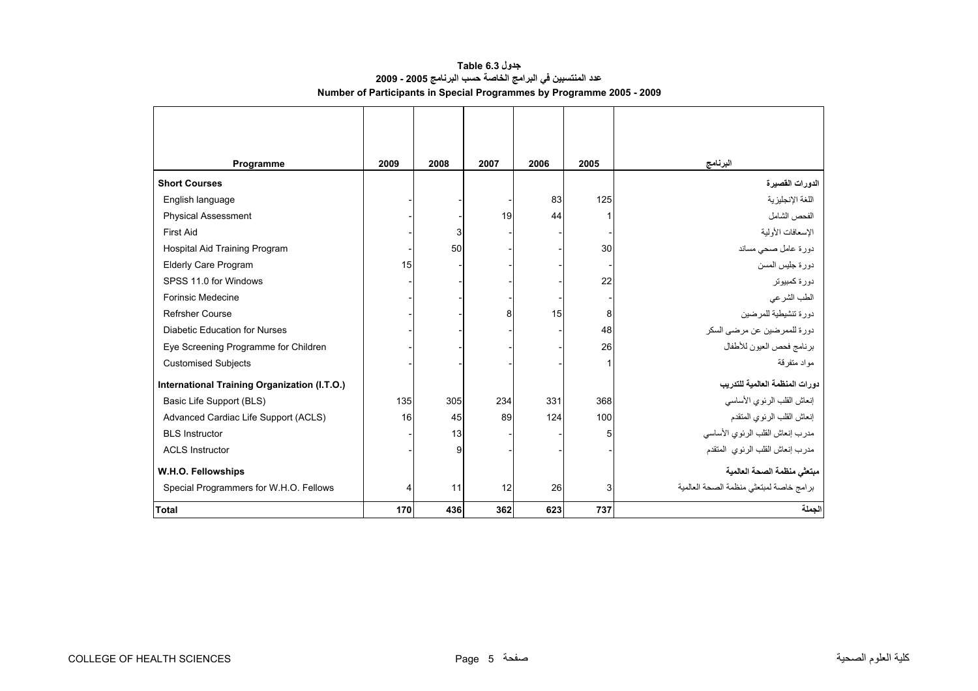## **جدول 6.3 Table عدد المنتسبين في البرامج الخاصة حسب البرنامج 2005 - 2009 Number of Participants in Special Programmes by Programme 2005 - 2009**

<span id="page-3-0"></span>

|                                              | 2009 | 2008 | 2007 | 2006 | 2005 | البرنامج                                |
|----------------------------------------------|------|------|------|------|------|-----------------------------------------|
| Programme                                    |      |      |      |      |      |                                         |
| <b>Short Courses</b>                         |      |      |      |      |      | الدورات القصيرة                         |
| English language                             |      |      |      | 83   | 125  | اللغة الإنجليزية                        |
| <b>Physical Assessment</b>                   |      |      | 19   | 44   |      | الفحص الشامل                            |
| <b>First Aid</b>                             |      | 3    |      |      |      | الإسعافات الأولية                       |
| Hospital Aid Training Program                |      | 50   |      |      | 30   | دورة عامل صحى مساند                     |
| Elderly Care Program                         | 15   |      |      |      |      | دورة جليس المسن                         |
| SPSS 11.0 for Windows                        |      |      |      |      | 22   | دو ر ۃ کمبیو تر                         |
| Forinsic Medecine                            |      |      |      |      |      | الطب الشر عي                            |
| <b>Refrsher Course</b>                       |      |      | 8    | 15   | 8    | دورة تتشيطية للمرضين                    |
| <b>Diabetic Education for Nurses</b>         |      |      |      |      | 48   | دورة للممرضين عن مرضى السكر             |
| Eye Screening Programme for Children         |      |      |      |      | 26   | برنامج فحص العيون للأطفال               |
| <b>Customised Subjects</b>                   |      |      |      |      |      | مو اد متفر قة                           |
| International Training Organization (I.T.O.) |      |      |      |      |      | دورات المنظمة العالمية للتدريب          |
| Basic Life Support (BLS)                     | 135  | 305  | 234  | 331  | 368  | إنعاش القلب الرئوي الأساسي              |
| Advanced Cardiac Life Support (ACLS)         | 16   | 45   | 89   | 124  | 100  | إنعاش القلب الرئوى المتقدم              |
| <b>BLS Instructor</b>                        |      | 13   |      |      | 5    | مدرب إنعاش القلب الرئوي الأساسي         |
| <b>ACLS Instructor</b>                       |      | 9    |      |      |      | مدرب إنعاش القلب الرئوي المنقدم         |
| W.H.O. Fellowships                           |      |      |      |      |      | مبتعثى منظمة الصحة العالمية             |
| Special Programmers for W.H.O. Fellows       | 4    | 11   | 12   | 26   | 3    | برامج خاصة لمبتعثي منظمة الصحة العالمية |
| <b>Total</b>                                 | 170  | 436  | 362  | 623  | 737  | الحملة                                  |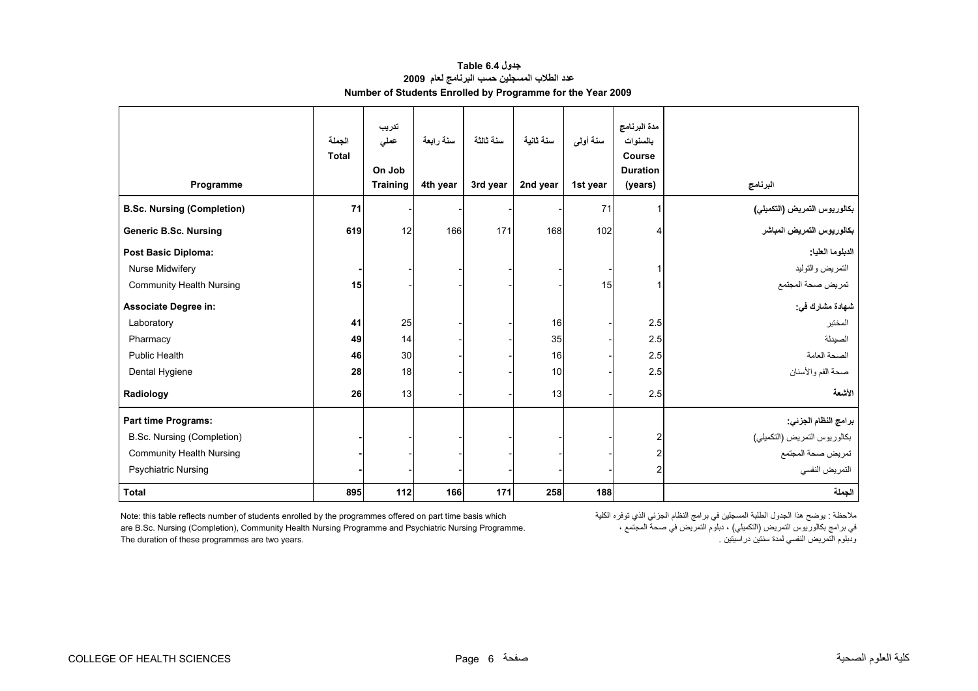#### **جدول 6.4 Table عدد الطلاب المسجلين حسب البرنامج لعام <sup>2009</sup> Number of Students Enrolled by Programme for the Year 2009**

<span id="page-4-0"></span>

| Programme                         | الجملة<br><b>Total</b> | تدريب<br>عملى<br>On Job<br><b>Training</b> | سنة رابعة<br>4th year | سنة ثالثة<br>3rd year | سنة ثانية<br>2nd year | سنة أولمي<br>1st year | مدة البرنامج<br>بالسنوات<br>Course<br><b>Duration</b><br>(years) | البرنامج                     |
|-----------------------------------|------------------------|--------------------------------------------|-----------------------|-----------------------|-----------------------|-----------------------|------------------------------------------------------------------|------------------------------|
| <b>B.Sc. Nursing (Completion)</b> | 71                     |                                            |                       |                       |                       | 71                    |                                                                  | بكالوريوس التمريض (التكميلي) |
| <b>Generic B.Sc. Nursing</b>      | 619                    | 12                                         | 166                   | 171                   | 168                   | 102                   |                                                                  | بكالوريوس التمريض المباشر    |
| <b>Post Basic Diploma:</b>        |                        |                                            |                       |                       |                       |                       |                                                                  | الدبلوما العليا:             |
| Nurse Midwifery                   |                        |                                            |                       |                       |                       |                       |                                                                  | التمريض والتوليد             |
| <b>Community Health Nursing</b>   | 15                     |                                            |                       |                       |                       | 15                    |                                                                  | تمريض صحة المجتمع            |
| Associate Degree in:              |                        |                                            |                       |                       |                       |                       |                                                                  | شهادة مشارك في:              |
| Laboratory                        | 41                     | 25                                         |                       |                       | 16                    |                       | 2.5                                                              | المختبر                      |
| Pharmacy                          | 49                     | 14                                         |                       |                       | 35                    |                       | 2.5                                                              | الصيدلة                      |
| Public Health                     | 46                     | 30                                         |                       |                       | 16                    |                       | 2.5                                                              | الصحة العامة                 |
| Dental Hygiene                    | 28                     | 18                                         |                       |                       | 10                    |                       | 2.5                                                              | صحة الفم والأسنان            |
| Radiology                         | 26                     | 13                                         |                       |                       | 13                    |                       | 2.5                                                              | الأشعة                       |
| <b>Part time Programs:</b>        |                        |                                            |                       |                       |                       |                       |                                                                  | برامج النظام الجزئي:         |
| <b>B.Sc. Nursing (Completion)</b> |                        |                                            |                       |                       |                       |                       | 2                                                                | بكالوريوس التمريض (التكميلي) |
| <b>Community Health Nursing</b>   |                        |                                            |                       |                       |                       |                       | 2                                                                | تمريض صحة المجتمع            |
| <b>Psychiatric Nursing</b>        |                        |                                            |                       |                       |                       |                       | $\overline{c}$                                                   | التمريض النفسي               |
| <b>Total</b>                      | 895                    | 112                                        | 166                   | 171                   | 258                   | 188                   |                                                                  | الجملة                       |

Note: this table reflects number of students enrolled by the programmes offered on part time basis which are B.Sc. Nursing (Completion), Community Health Nursing Programme and Psychiatric Nursing Programme. ملاحظة : يوضح هذا الجدول الطلبة المسجلين في برامج النظام الجزئي الذي توفره الكلية<br>في برامج بكالوريوس التمريض (التكميلي) ، دبلوم التمريض في صحة المجتمع ، هو الكلية are B.Sc. Nursing (Completion), Community Health Nursing P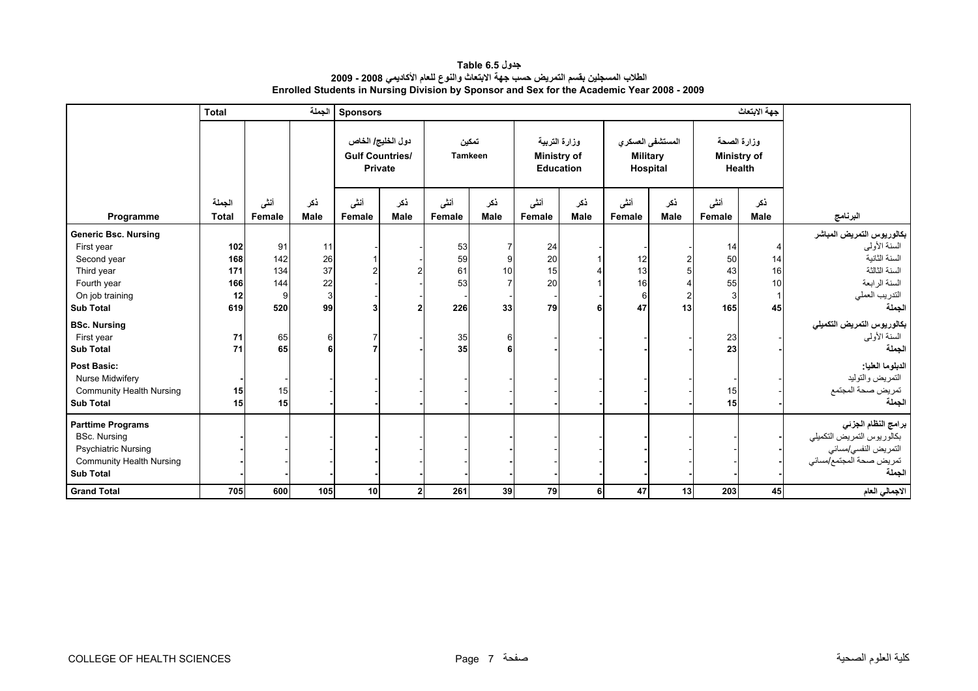**جدول 6.5 Table الطلاب المسجلين بقسم التمريض حسب جهة الابتعاث والنوع للعام الأآاديمي 2008 - 2009 Enrolled Students in Nursing Division by Sponsor and Sex for the Academic Year 2008 - 2009** 

<span id="page-5-0"></span>

|                                                                                                                                                                                                 | <b>Total</b>                                      |                                            | الجملة                                          |                                             | جهة الابتعاث<br><b>Sponsors</b> |                                         |                    |                                                         |                    |                                                  |                    |                                              |                      |                                                                                                                                                                                               |
|-------------------------------------------------------------------------------------------------------------------------------------------------------------------------------------------------|---------------------------------------------------|--------------------------------------------|-------------------------------------------------|---------------------------------------------|---------------------------------|-----------------------------------------|--------------------|---------------------------------------------------------|--------------------|--------------------------------------------------|--------------------|----------------------------------------------|----------------------|-----------------------------------------------------------------------------------------------------------------------------------------------------------------------------------------------|
|                                                                                                                                                                                                 |                                                   |                                            |                                                 | دول الخليج/ الخاص<br><b>Gulf Countries/</b> | <b>Private</b>                  | تمكين<br><b>Tamkeen</b>                 |                    | وزارة التربية<br><b>Ministry of</b><br><b>Education</b> |                    | المستشفى العسكر ي<br><b>Military</b><br>Hospital |                    | وزارة الصحة<br><b>Ministry of</b>            | <b>Health</b>        |                                                                                                                                                                                               |
| Programme                                                                                                                                                                                       | الجملة<br><b>Total</b>                            | أنشى<br>Female                             | ذكر<br><b>Male</b>                              | أنشى<br>Female                              | نكر<br><b>Male</b>              | أنشى<br>Female                          | ذكر<br><b>Male</b> | أننس<br><b>Female</b>                                   | ذكر<br><b>Male</b> | أننسى<br><b>Female</b>                           | ذكر<br><b>Male</b> | أنشى<br><b>Female</b>                        | ذكر<br>Male          | البرنامج                                                                                                                                                                                      |
| <b>Generic Bsc. Nursing</b>                                                                                                                                                                     |                                                   |                                            |                                                 |                                             |                                 |                                         |                    |                                                         |                    |                                                  |                    |                                              |                      | بكالوريوس التمريض المباشر                                                                                                                                                                     |
| First year<br>Second year<br>Third year<br>Fourth year<br>On job training<br><b>Sub Total</b><br><b>BSc. Nursing</b><br>First year<br><b>Sub Total</b><br><b>Post Basic:</b><br>Nurse Midwifery | 102<br>168<br>171<br>166<br>12<br>619<br>71<br>71 | 91<br>142<br>134<br>144<br>520<br>65<br>65 | 11<br>26<br>37<br>22<br>$\mathbf{3}$<br>99<br>6 |                                             |                                 | 53<br>59<br>61<br>53<br>226<br>35<br>35 | 10<br>33           | 24<br>20<br>15<br>20<br>79                              |                    | 12<br>13<br>16<br>6<br>47                        | 13                 | 14<br>50<br>43<br>55<br>3<br>165<br>23<br>23 | 14<br>16<br>10<br>45 | السنة الأولىي<br>السنة الثانية<br>السنة الثالثة<br>السنة الرابعة<br>التدريب العملي<br>الحملة<br>بكالوريوس التمريض التكميلي<br>السنة الأولىي<br>الحملة<br>الدبلوما العليا:<br>التمريض والتوليد |
| <b>Community Health Nursing</b><br><b>Sub Total</b>                                                                                                                                             | 15<br>15                                          | 15<br>15                                   |                                                 |                                             |                                 |                                         |                    |                                                         |                    |                                                  |                    | 15<br>15 <sup>1</sup>                        |                      | تمريض صحة المجتمع<br>الحملة                                                                                                                                                                   |
| <b>Parttime Programs</b><br><b>BSc. Nursing</b><br><b>Psychiatric Nursing</b><br><b>Community Health Nursing</b><br><b>Sub Total</b><br><b>Grand Total</b>                                      | 705                                               | 600                                        | 105                                             | 10                                          |                                 | 261                                     | 39                 | 79                                                      | 6                  | 47                                               | 13                 | 203                                          | 45                   | برامج النظام الجزئي<br>بكالوريوس التمريض التكميلي<br>التمريض النفسي/مسائي<br>تمريض صحة المجتمع/مسائي<br>الحملة<br>الاجمالي العام                                                              |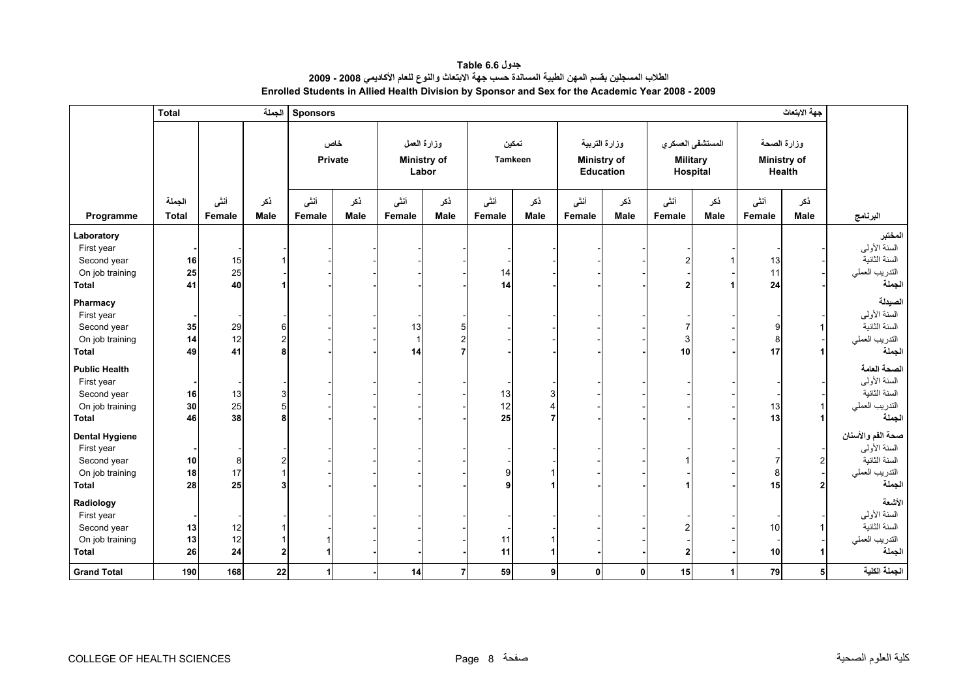<span id="page-6-0"></span>

|                                                                                       | <b>Total</b>   |                | الجملة                   |                 |      |          |                                            |                |                         |             |                                                         |         |                                                 |                | جهة الابتعاث                                |                                                                                 |
|---------------------------------------------------------------------------------------|----------------|----------------|--------------------------|-----------------|------|----------|--------------------------------------------|----------------|-------------------------|-------------|---------------------------------------------------------|---------|-------------------------------------------------|----------------|---------------------------------------------|---------------------------------------------------------------------------------|
|                                                                                       |                |                |                          | <b>Sponsors</b> |      |          |                                            |                |                         |             |                                                         |         |                                                 |                |                                             |                                                                                 |
|                                                                                       |                |                |                          | خاص<br>Private  |      |          | وزارة العمل<br><b>Ministry of</b><br>Labor |                | تمكين<br><b>Tamkeen</b> |             | وزارة التربية<br><b>Ministry of</b><br><b>Education</b> |         | المستشفى العسكري<br><b>Military</b><br>Hospital |                | وزارة الصحة<br><b>Ministry of</b><br>Health |                                                                                 |
|                                                                                       | الجملة         | أنشى           | نكر                      | أنشى            | نكر  | أنشى     | نكر                                        | أننى           | نكر                     | أنشى        | ذكر                                                     | أننى    | نكر                                             | أنشى           | ذكر                                         |                                                                                 |
| Programme                                                                             | <b>Total</b>   | Female         | Male                     | Female          | Male | Female   | Male                                       | Female         | <b>Male</b>             | Female      | Male                                                    | Female  | Male                                            | Female         | Male                                        | البرنامج                                                                        |
| Laboratory<br>First year<br>Second year<br>On job training<br><b>Total</b>            | 16<br>25<br>41 | 15<br>25<br>40 |                          |                 |      |          |                                            | 14<br>14       |                         |             |                                                         |         |                                                 | 13<br>11<br>24 |                                             | المختبر<br>السنة الأولى<br>السنة الثانية<br>التدريب العملي<br>الجملة            |
| Pharmacy<br>First year<br>Second year<br>On job training<br><b>Total</b>              | 35<br>14<br>49 | 29<br>12<br>41 | 6<br>$\mathbf 2$<br>R    |                 |      | 13<br>14 | 5<br>$\overline{c}$                        |                |                         |             |                                                         | 3<br>10 |                                                 | 17             |                                             | الصيدلة<br>السنة الأولىي<br>السنة الثانية<br>التدريب العملي<br>الجملة           |
| <b>Public Health</b><br>First year<br>Second year<br>On job training<br><b>Total</b>  | 16<br>30<br>46 | 13<br>25<br>38 | 3<br>5<br>8              |                 |      |          |                                            | 13<br>12<br>25 | 3                       |             |                                                         |         |                                                 | 13<br>13       |                                             | الصحة العامة<br>السنة الأولى<br>السنة الثانية<br>التدريب العملي<br>الجملة       |
| <b>Dental Hygiene</b><br>First year<br>Second year<br>On job training<br><b>Total</b> | 10<br>18<br>28 | 8<br>17<br>25  | $\overline{2}$<br>1<br>3 |                 |      |          |                                            | 9<br>q         |                         |             |                                                         |         |                                                 | 8<br>15        |                                             | صحة الفم والأسنان<br>السنة الأولىي<br>السنة الثانية<br>التدريب العملي<br>الجملة |
| Radiology<br>First year<br>Second year<br>On job training<br><b>Total</b>             | 13<br>13<br>26 | 12<br>12<br>24 | 1<br>2 <sub>1</sub>      |                 |      |          |                                            | 11<br>11       |                         |             |                                                         | 2       |                                                 | 10<br>10       |                                             | الأشعة<br>السنة الأولى<br>السنة الثانية<br>التدريب العملي<br>الجملة             |
| <b>Grand Total</b>                                                                    | 190            | 168            | 22                       | $\mathbf{1}$    |      | 14       | $\overline{7}$                             | 59             | 9                       | $\mathbf 0$ | $\mathbf{0}$                                            | 15      | $\mathbf{1}$                                    | 79             | 5 <sup>1</sup>                              | الجملة الكلية                                                                   |

**جدول 6.6 Table الطلاب المسجلين بقسم المهن الطبية المساندة حسب جهة الابتعاث والنوع للعام الأآاديمي 2008 - 2009 Enrolled Students in Allied Health Division by Sponsor and Sex for the Academic Year 2008 - 2009**